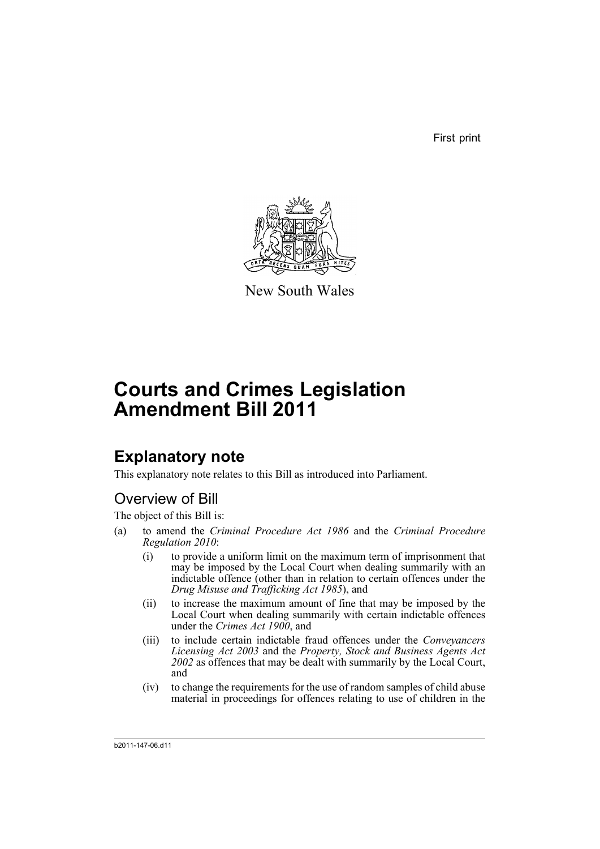First print



New South Wales

# **Courts and Crimes Legislation Amendment Bill 2011**

## **Explanatory note**

This explanatory note relates to this Bill as introduced into Parliament.

### Overview of Bill

The object of this Bill is:

- (a) to amend the *Criminal Procedure Act 1986* and the *Criminal Procedure Regulation 2010*:
	- (i) to provide a uniform limit on the maximum term of imprisonment that may be imposed by the Local Court when dealing summarily with an indictable offence (other than in relation to certain offences under the *Drug Misuse and Trafficking Act 1985*), and
	- (ii) to increase the maximum amount of fine that may be imposed by the Local Court when dealing summarily with certain indictable offences under the *Crimes Act 1900*, and
	- (iii) to include certain indictable fraud offences under the *Conveyancers Licensing Act 2003* and the *Property, Stock and Business Agents Act 2002* as offences that may be dealt with summarily by the Local Court, and
	- (iv) to change the requirements for the use of random samples of child abuse material in proceedings for offences relating to use of children in the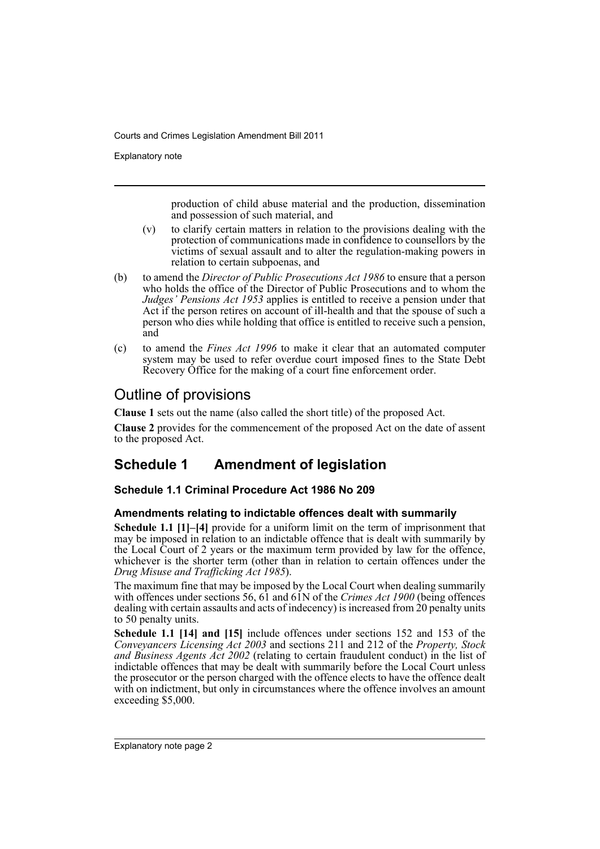Explanatory note

production of child abuse material and the production, dissemination and possession of such material, and

- (v) to clarify certain matters in relation to the provisions dealing with the protection of communications made in confidence to counsellors by the victims of sexual assault and to alter the regulation-making powers in relation to certain subpoenas, and
- (b) to amend the *Director of Public Prosecutions Act 1986* to ensure that a person who holds the office of the Director of Public Prosecutions and to whom the *Judges' Pensions Act 1953* applies is entitled to receive a pension under that Act if the person retires on account of ill-health and that the spouse of such a person who dies while holding that office is entitled to receive such a pension, and
- (c) to amend the *Fines Act 1996* to make it clear that an automated computer system may be used to refer overdue court imposed fines to the State Debt Recovery Office for the making of a court fine enforcement order.

### Outline of provisions

**Clause 1** sets out the name (also called the short title) of the proposed Act.

**Clause 2** provides for the commencement of the proposed Act on the date of assent to the proposed Act.

### **Schedule 1 Amendment of legislation**

#### **Schedule 1.1 Criminal Procedure Act 1986 No 209**

#### **Amendments relating to indictable offences dealt with summarily**

**Schedule 1.1 [1]–[4]** provide for a uniform limit on the term of imprisonment that may be imposed in relation to an indictable offence that is dealt with summarily by the Local Court of 2 years or the maximum term provided by law for the offence, whichever is the shorter term (other than in relation to certain offences under the *Drug Misuse and Trafficking Act 1985*).

The maximum fine that may be imposed by the Local Court when dealing summarily with offences under sections 56, 61 and 61N of the *Crimes Act 1900* (being offences dealing with certain assaults and acts of indecency) is increased from 20 penalty units to 50 penalty units.

**Schedule 1.1 [14] and [15]** include offences under sections 152 and 153 of the *Conveyancers Licensing Act 2003* and sections 211 and 212 of the *Property, Stock and Business Agents Act 2002* (relating to certain fraudulent conduct) in the list of indictable offences that may be dealt with summarily before the Local Court unless the prosecutor or the person charged with the offence elects to have the offence dealt with on indictment, but only in circumstances where the offence involves an amount exceeding \$5,000.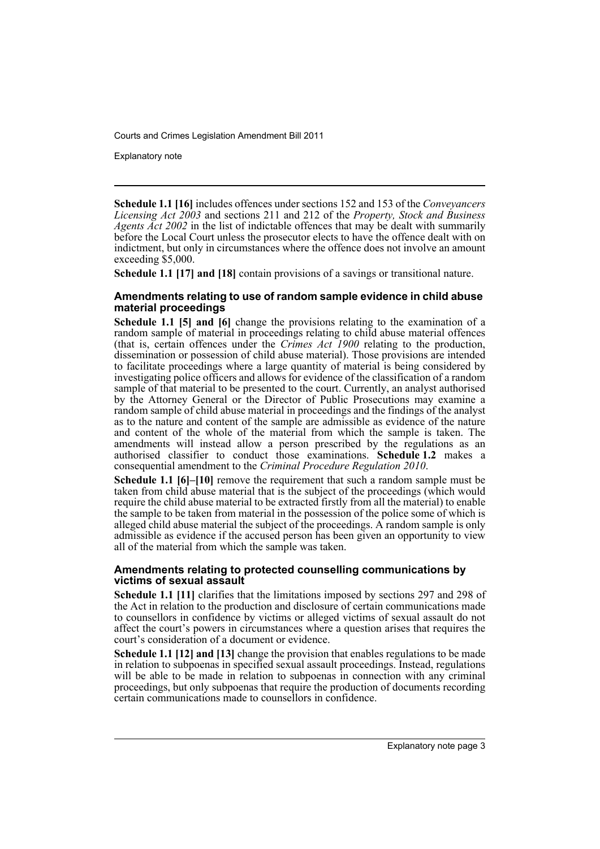Explanatory note

**Schedule 1.1 [16]** includes offences under sections 152 and 153 of the *Conveyancers Licensing Act 2003* and sections 211 and 212 of the *Property, Stock and Business Agents Act 2002* in the list of indictable offences that may be dealt with summarily before the Local Court unless the prosecutor elects to have the offence dealt with on indictment, but only in circumstances where the offence does not involve an amount exceeding \$5,000.

**Schedule 1.1 [17] and [18]** contain provisions of a savings or transitional nature.

#### **Amendments relating to use of random sample evidence in child abuse material proceedings**

**Schedule 1.1 [5] and [6]** change the provisions relating to the examination of a random sample of material in proceedings relating to child abuse material offences (that is, certain offences under the *Crimes Act 1900* relating to the production, dissemination or possession of child abuse material). Those provisions are intended to facilitate proceedings where a large quantity of material is being considered by investigating police officers and allows for evidence of the classification of a random sample of that material to be presented to the court. Currently, an analyst authorised by the Attorney General or the Director of Public Prosecutions may examine a random sample of child abuse material in proceedings and the findings of the analyst as to the nature and content of the sample are admissible as evidence of the nature and content of the whole of the material from which the sample is taken. The amendments will instead allow a person prescribed by the regulations as an authorised classifier to conduct those examinations. **Schedule 1.2** makes a consequential amendment to the *Criminal Procedure Regulation 2010*.

**Schedule 1.1 [6]–[10]** remove the requirement that such a random sample must be taken from child abuse material that is the subject of the proceedings (which would require the child abuse material to be extracted firstly from all the material) to enable the sample to be taken from material in the possession of the police some of which is alleged child abuse material the subject of the proceedings. A random sample is only admissible as evidence if the accused person has been given an opportunity to view all of the material from which the sample was taken.

#### **Amendments relating to protected counselling communications by victims of sexual assault**

**Schedule 1.1 [11]** clarifies that the limitations imposed by sections 297 and 298 of the Act in relation to the production and disclosure of certain communications made to counsellors in confidence by victims or alleged victims of sexual assault do not affect the court's powers in circumstances where a question arises that requires the court's consideration of a document or evidence.

**Schedule 1.1 [12] and [13]** change the provision that enables regulations to be made in relation to subpoenas in specified sexual assault proceedings. Instead, regulations will be able to be made in relation to subpoenas in connection with any criminal proceedings, but only subpoenas that require the production of documents recording certain communications made to counsellors in confidence.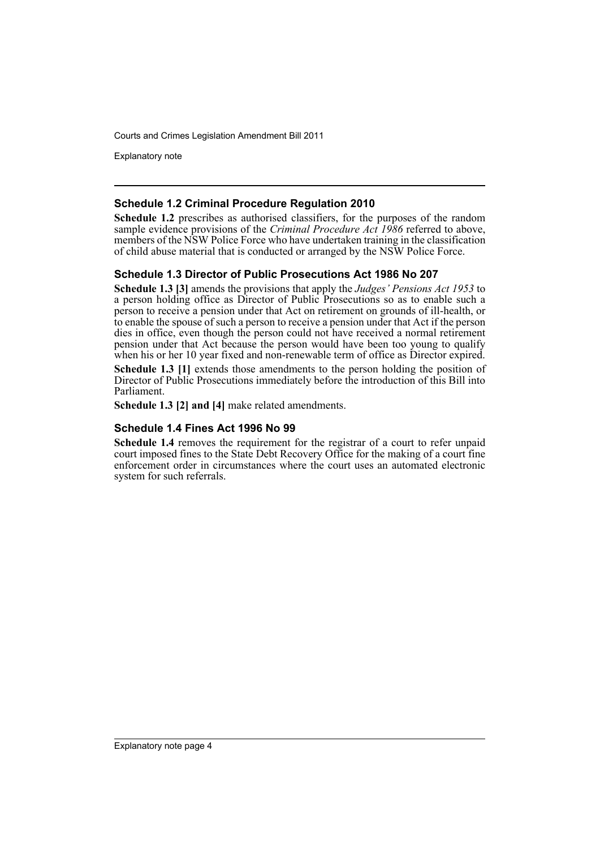Explanatory note

#### **Schedule 1.2 Criminal Procedure Regulation 2010**

**Schedule 1.2** prescribes as authorised classifiers, for the purposes of the random sample evidence provisions of the *Criminal Procedure Act 1986* referred to above, members of the NSW Police Force who have undertaken training in the classification of child abuse material that is conducted or arranged by the NSW Police Force.

#### **Schedule 1.3 Director of Public Prosecutions Act 1986 No 207**

**Schedule 1.3 [3]** amends the provisions that apply the *Judges' Pensions Act 1953* to a person holding office as Director of Public Prosecutions so as to enable such a person to receive a pension under that Act on retirement on grounds of ill-health, or to enable the spouse of such a person to receive a pension under that Act if the person dies in office, even though the person could not have received a normal retirement pension under that Act because the person would have been too young to qualify when his or her 10 year fixed and non-renewable term of office as Director expired. **Schedule 1.3 [1]** extends those amendments to the person holding the position of Director of Public Prosecutions immediately before the introduction of this Bill into Parliament.

**Schedule 1.3 [2] and [4]** make related amendments.

#### **Schedule 1.4 Fines Act 1996 No 99**

**Schedule 1.4** removes the requirement for the registrar of a court to refer unpaid court imposed fines to the State Debt Recovery Office for the making of a court fine enforcement order in circumstances where the court uses an automated electronic system for such referrals.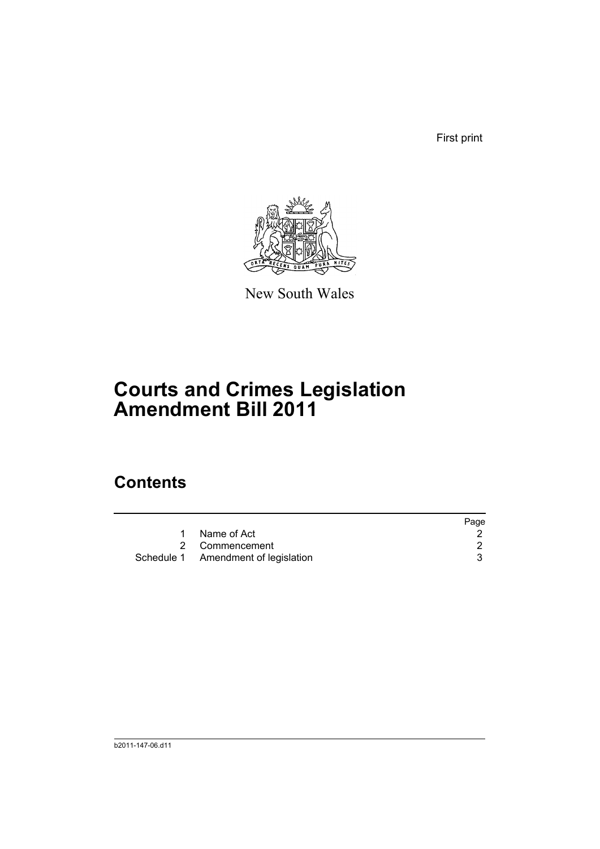First print



New South Wales

## **Courts and Crimes Legislation Amendment Bill 2011**

### **Contents**

|                                     | Page |
|-------------------------------------|------|
| Name of Act                         |      |
| 2 Commencement                      |      |
| Schedule 1 Amendment of legislation |      |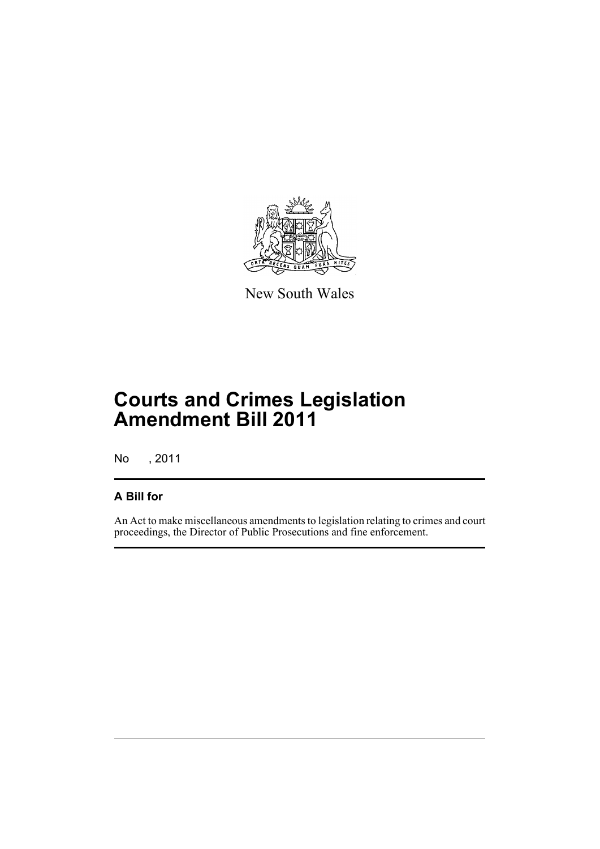

New South Wales

## **Courts and Crimes Legislation Amendment Bill 2011**

No , 2011

#### **A Bill for**

An Act to make miscellaneous amendments to legislation relating to crimes and court proceedings, the Director of Public Prosecutions and fine enforcement.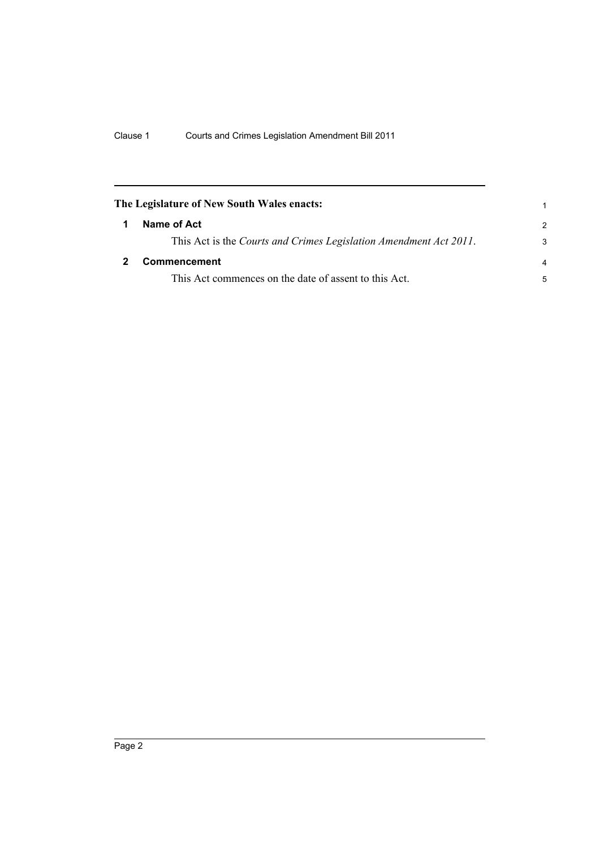<span id="page-7-1"></span><span id="page-7-0"></span>

| The Legislature of New South Wales enacts: |                                                                   |                |
|--------------------------------------------|-------------------------------------------------------------------|----------------|
| 1                                          | Name of Act                                                       | $\mathcal{P}$  |
|                                            | This Act is the Courts and Crimes Legislation Amendment Act 2011. | 3              |
|                                            | <b>Commencement</b>                                               | $\overline{a}$ |
|                                            | This Act commences on the date of assent to this Act.             | 5              |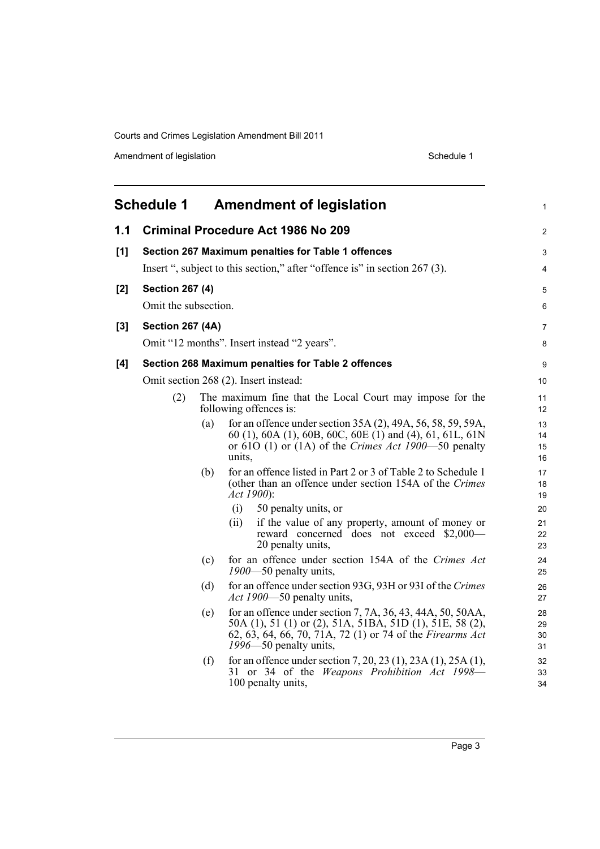Amendment of legislation and the state of the Schedule 1 Schedule 1

<span id="page-8-0"></span>

|       | <b>Schedule 1</b>       |     | <b>Amendment of legislation</b>                                                                                                                                                                               | 1                    |
|-------|-------------------------|-----|---------------------------------------------------------------------------------------------------------------------------------------------------------------------------------------------------------------|----------------------|
| 1.1   |                         |     | <b>Criminal Procedure Act 1986 No 209</b>                                                                                                                                                                     | $\overline{2}$       |
| [1]   |                         |     | Section 267 Maximum penalties for Table 1 offences                                                                                                                                                            | 3                    |
|       |                         |     | Insert ", subject to this section," after "offence is" in section 267 (3).                                                                                                                                    | 4                    |
| [2]   | <b>Section 267 (4)</b>  |     |                                                                                                                                                                                                               | 5                    |
|       | Omit the subsection.    |     |                                                                                                                                                                                                               | 6                    |
| $[3]$ | <b>Section 267 (4A)</b> |     |                                                                                                                                                                                                               | 7                    |
|       |                         |     | Omit "12 months". Insert instead "2 years".                                                                                                                                                                   | 8                    |
| [4]   |                         |     | Section 268 Maximum penalties for Table 2 offences                                                                                                                                                            | 9                    |
|       |                         |     | Omit section 268 (2). Insert instead:                                                                                                                                                                         | 10                   |
|       | (2)                     |     | The maximum fine that the Local Court may impose for the<br>following offences is:                                                                                                                            | 11<br>12             |
|       |                         | (a) | for an offence under section 35A (2), 49A, 56, 58, 59, 59A,<br>60 (1), 60A (1), 60B, 60C, 60E (1) and (4), 61, 61L, 61N<br>or 610 (1) or (1A) of the <i>Crimes Act 1900</i> —50 penalty<br>units,             | 13<br>14<br>15<br>16 |
|       |                         | (b) | for an offence listed in Part 2 or 3 of Table 2 to Schedule 1<br>(other than an offence under section 154A of the Crimes<br>Act 1900):                                                                        | 17<br>18<br>19       |
|       |                         |     | (i)<br>50 penalty units, or                                                                                                                                                                                   | 20                   |
|       |                         |     | if the value of any property, amount of money or<br>(ii)<br>reward concerned does not exceed \$2,000-<br>20 penalty units,                                                                                    | 21<br>22<br>23       |
|       |                         | (c) | for an offence under section 154A of the Crimes Act<br>$1900 - 50$ penalty units,                                                                                                                             | 24<br>25             |
|       |                         | (d) | for an offence under section 93G, 93H or 93I of the Crimes<br><i>Act 1900</i> —50 penalty units,                                                                                                              | 26<br>27             |
|       |                         | (e) | for an offence under section 7, 7A, 36, 43, 44A, 50, 50AA,<br>50A (1), 51 (1) or (2), 51A, 51BA, 51D (1), 51E, 58 (2),<br>62, 63, 64, 66, 70, 71A, 72 (1) or 74 of the Firearms Act<br>1996–50 penalty units, | 28<br>29<br>30<br>31 |
|       |                         | (f) | for an offence under section 7, 20, 23 (1), 23A (1), 25A (1),<br>31 or 34 of the Weapons Prohibition Act 1998-<br>100 penalty units,                                                                          | 32<br>33<br>34       |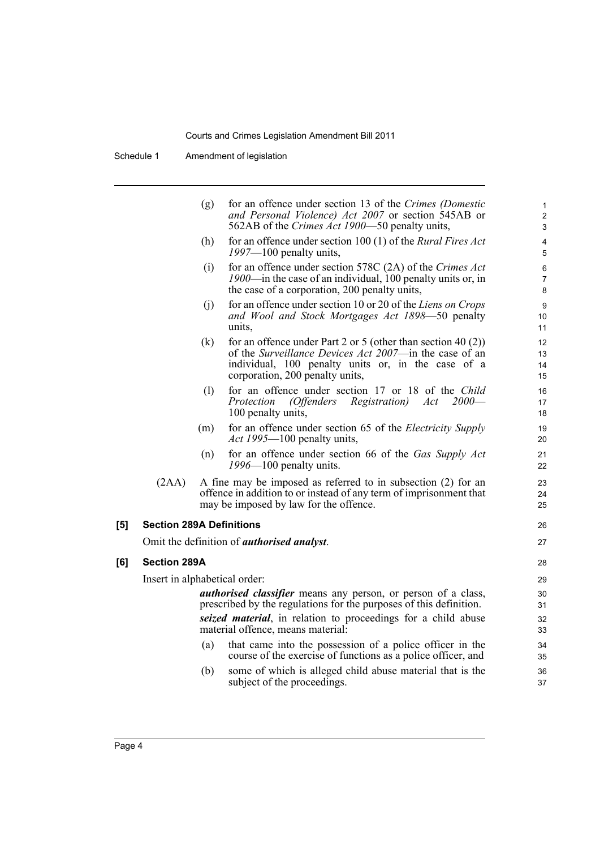Schedule 1 Amendment of legislation

|                                 | (g) | for an offence under section 13 of the Crimes (Domestic<br>and Personal Violence) Act 2007 or section 545AB or<br>562AB of the <i>Crimes Act 1900</i> —50 penalty units,                                           | $\mathbf{1}$<br>$\overline{2}$<br>3 |
|---------------------------------|-----|--------------------------------------------------------------------------------------------------------------------------------------------------------------------------------------------------------------------|-------------------------------------|
|                                 | (h) | for an offence under section 100 (1) of the Rural Fires Act<br>$1997 - 100$ penalty units,                                                                                                                         | 4<br>5                              |
|                                 | (i) | for an offence under section 578C (2A) of the Crimes Act<br>1900—in the case of an individual, 100 penalty units or, in<br>the case of a corporation, 200 penalty units,                                           | 6<br>$\overline{7}$<br>8            |
|                                 | (i) | for an offence under section 10 or 20 of the Liens on Crops<br>and Wool and Stock Mortgages Act 1898–50 penalty<br>units.                                                                                          | 9<br>10<br>11                       |
|                                 | (k) | for an offence under Part 2 or 5 (other than section 40 $(2)$ )<br>of the Surveillance Devices Act 2007—in the case of an<br>individual, 100 penalty units or, in the case of a<br>corporation, 200 penalty units, | 12<br>13<br>14<br>15                |
|                                 | (1) | for an offence under section 17 or 18 of the Child<br><i>Registration</i> )<br><i>(Offenders</i><br>Act<br>$2000-$<br>Protection<br>100 penalty units,                                                             | 16<br>17<br>18                      |
|                                 | (m) | for an offence under section 65 of the <i>Electricity Supply</i><br><i>Act 1995</i> —100 penalty units,                                                                                                            | 19<br>20                            |
|                                 | (n) | for an offence under section 66 of the Gas Supply Act<br>$1996 - 100$ penalty units.                                                                                                                               | 21<br>22                            |
| (2AA)                           |     | A fine may be imposed as referred to in subsection (2) for an<br>offence in addition to or instead of any term of imprisonment that<br>may be imposed by law for the offence.                                      | 23<br>24<br>25                      |
| <b>Section 289A Definitions</b> |     |                                                                                                                                                                                                                    | 26                                  |
|                                 |     | Omit the definition of <i>authorised analyst</i> .                                                                                                                                                                 | 27                                  |
| <b>Section 289A</b>             |     |                                                                                                                                                                                                                    | 28                                  |
| Insert in alphabetical order:   |     |                                                                                                                                                                                                                    | 29                                  |
|                                 |     | <i>authorised classifier</i> means any person, or person of a class,<br>prescribed by the regulations for the purposes of this definition.                                                                         | 30<br>31                            |
|                                 |     | seized material, in relation to proceedings for a child abuse<br>material offence, means material:                                                                                                                 | 32<br>33                            |
|                                 | (a) | that came into the possession of a police officer in the<br>course of the exercise of functions as a police officer, and                                                                                           | 34<br>35                            |
|                                 | (b) | some of which is alleged child abuse material that is the<br>subject of the proceedings.                                                                                                                           | 36<br>37                            |
|                                 |     |                                                                                                                                                                                                                    |                                     |

**[5]** 

**[6]**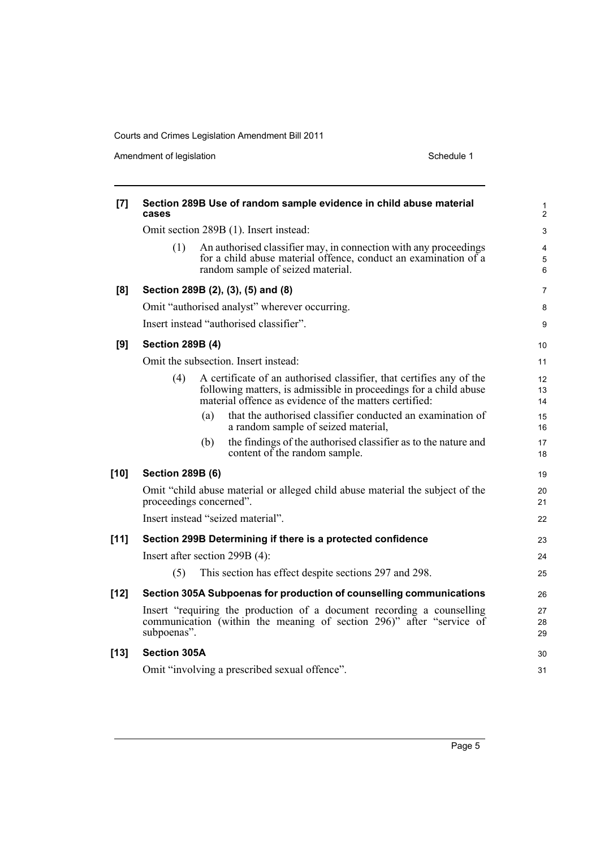Amendment of legislation and the state of the Schedule 1 Schedule 1

|        |                         |                                                                                                                                                                                                     | 2              |
|--------|-------------------------|-----------------------------------------------------------------------------------------------------------------------------------------------------------------------------------------------------|----------------|
|        |                         | Omit section 289B (1). Insert instead:                                                                                                                                                              | 3              |
|        | (1)                     | An authorised classifier may, in connection with any proceedings<br>for a child abuse material offence, conduct an examination of a<br>random sample of seized material.                            | 4<br>5<br>6    |
| [8]    |                         | Section 289B (2), (3), (5) and (8)                                                                                                                                                                  | 7              |
|        |                         | Omit "authorised analyst" wherever occurring.                                                                                                                                                       | 8              |
|        |                         | Insert instead "authorised classifier".                                                                                                                                                             | 9              |
| [9]    | <b>Section 289B (4)</b> |                                                                                                                                                                                                     | 10             |
|        |                         | Omit the subsection. Insert instead:                                                                                                                                                                | 11             |
|        | (4)                     | A certificate of an authorised classifier, that certifies any of the<br>following matters, is admissible in proceedings for a child abuse<br>material offence as evidence of the matters certified: | 12<br>13<br>14 |
|        |                         | that the authorised classifier conducted an examination of<br>(a)<br>a random sample of seized material,                                                                                            | 15<br>16       |
|        |                         | the findings of the authorised classifier as to the nature and<br>(b)<br>content of the random sample.                                                                                              | 17<br>18       |
| $[10]$ | <b>Section 289B (6)</b> |                                                                                                                                                                                                     | 19             |
|        |                         | Omit "child abuse material or alleged child abuse material the subject of the<br>proceedings concerned".                                                                                            | 20<br>21       |
|        |                         | Insert instead "seized material".                                                                                                                                                                   | 22             |
| $[11]$ |                         | Section 299B Determining if there is a protected confidence                                                                                                                                         | 23             |
|        |                         | Insert after section 299B (4):                                                                                                                                                                      | 24             |
|        | (5)                     | This section has effect despite sections 297 and 298.                                                                                                                                               | 25             |
| $[12]$ |                         | Section 305A Subpoenas for production of counselling communications                                                                                                                                 | 26             |
|        | subpoenas".             | Insert "requiring the production of a document recording a counselling<br>communication (within the meaning of section 296)" after "service of                                                      | 27<br>28<br>29 |
| $[13]$ | <b>Section 305A</b>     |                                                                                                                                                                                                     | 30             |
|        |                         | Omit "involving a prescribed sexual offence".                                                                                                                                                       | 31             |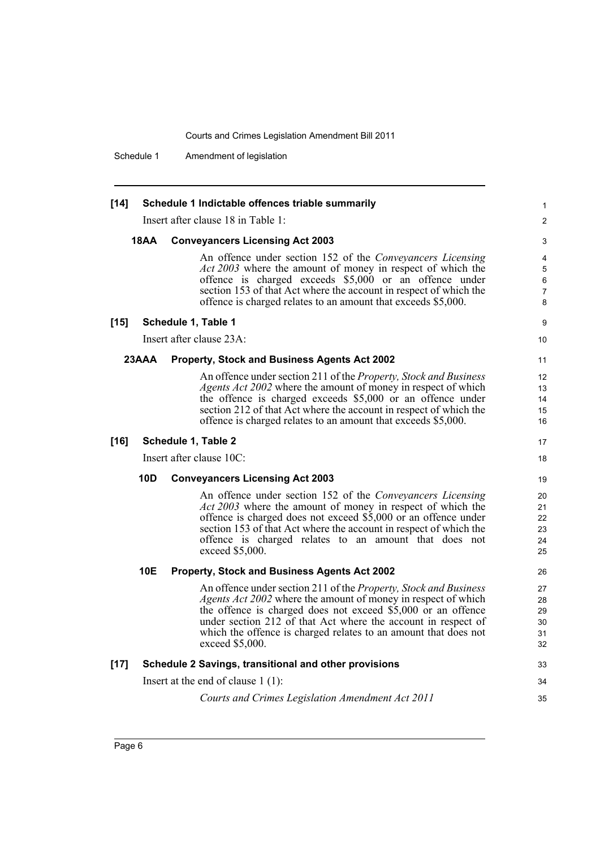Schedule 1 Amendment of legislation

| $[14]$ |                                                       | Schedule 1 Indictable offences triable summarily                                                                                                                                                                                                                                                                                                                | 1                                |
|--------|-------------------------------------------------------|-----------------------------------------------------------------------------------------------------------------------------------------------------------------------------------------------------------------------------------------------------------------------------------------------------------------------------------------------------------------|----------------------------------|
|        |                                                       | Insert after clause 18 in Table 1:                                                                                                                                                                                                                                                                                                                              | $\overline{c}$                   |
|        | <b>18AA</b>                                           | <b>Conveyancers Licensing Act 2003</b>                                                                                                                                                                                                                                                                                                                          | 3                                |
|        |                                                       | An offence under section 152 of the Conveyancers Licensing<br>Act 2003 where the amount of money in respect of which the<br>offence is charged exceeds \$5,000 or an offence under<br>section 153 of that Act where the account in respect of which the<br>offence is charged relates to an amount that exceeds \$5,000.                                        | 4<br>5<br>6<br>7<br>8            |
| $[15]$ |                                                       | Schedule 1, Table 1                                                                                                                                                                                                                                                                                                                                             | 9                                |
|        |                                                       | Insert after clause 23A:                                                                                                                                                                                                                                                                                                                                        | 10                               |
|        | 23AAA<br>Property, Stock and Business Agents Act 2002 |                                                                                                                                                                                                                                                                                                                                                                 | 11                               |
|        |                                                       | An offence under section 211 of the Property, Stock and Business<br><i>Agents Act 2002</i> where the amount of money in respect of which<br>the offence is charged exceeds \$5,000 or an offence under<br>section 212 of that Act where the account in respect of which the<br>offence is charged relates to an amount that exceeds \$5,000.                    | 12<br>13<br>14<br>15<br>16       |
| $[16]$ |                                                       | Schedule 1, Table 2                                                                                                                                                                                                                                                                                                                                             | 17                               |
|        |                                                       | Insert after clause 10C:                                                                                                                                                                                                                                                                                                                                        | 18                               |
|        | 10D                                                   | <b>Conveyancers Licensing Act 2003</b>                                                                                                                                                                                                                                                                                                                          | 19                               |
|        |                                                       | An offence under section 152 of the Conveyancers Licensing<br><i>Act 2003</i> where the amount of money in respect of which the<br>offence is charged does not exceed \$5,000 or an offence under<br>section 153 of that Act where the account in respect of which the<br>offence is charged relates to an amount that does not<br>exceed \$5,000.              | 20<br>21<br>22<br>23<br>24<br>25 |
|        | 10E                                                   | Property, Stock and Business Agents Act 2002                                                                                                                                                                                                                                                                                                                    | 26                               |
|        |                                                       | An offence under section 211 of the Property, Stock and Business<br><i>Agents Act 2002</i> where the amount of money in respect of which<br>the offence is charged does not exceed \$5,000 or an offence<br>under section 212 of that Act where the account in respect of<br>which the offence is charged relates to an amount that does not<br>exceed \$5,000. | 27<br>28<br>29<br>30<br>31<br>32 |
| $[17]$ |                                                       | Schedule 2 Savings, transitional and other provisions                                                                                                                                                                                                                                                                                                           | 33                               |
|        |                                                       | Insert at the end of clause $1(1)$ :                                                                                                                                                                                                                                                                                                                            | 34                               |
|        |                                                       | Courts and Crimes Legislation Amendment Act 2011                                                                                                                                                                                                                                                                                                                | 35                               |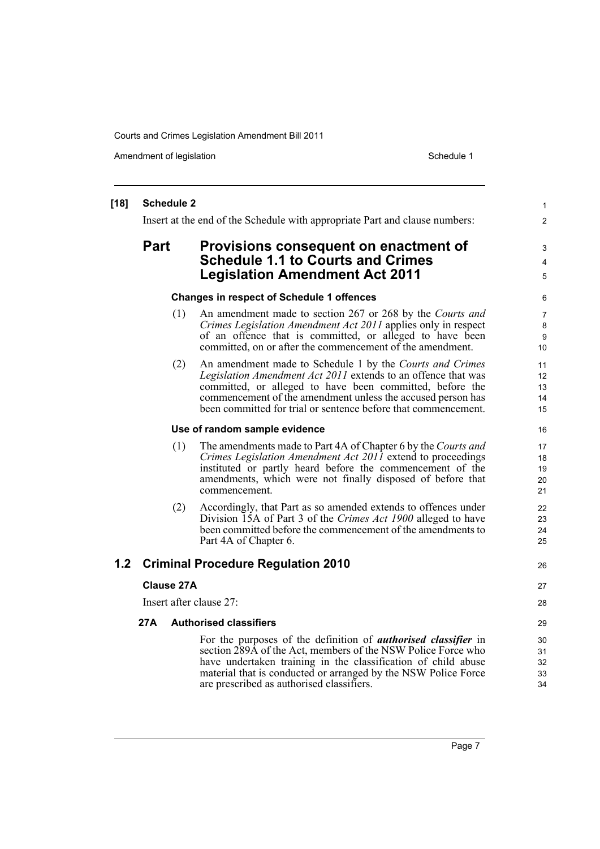Amendment of legislation New York 1999 and the Schedule 1 Amendment of legislation Schedule 1

#### **[18] Schedule 2** Insert at the end of the Schedule with appropriate Part and clause numbers: **Part Provisions consequent on enactment of Schedule 1.1 to Courts and Crimes Legislation Amendment Act 2011 Changes in respect of Schedule 1 offences** (1) An amendment made to section 267 or 268 by the *Courts and Crimes Legislation Amendment Act 2011* applies only in respect of an offence that is committed, or alleged to have been committed, on or after the commencement of the amendment. (2) An amendment made to Schedule 1 by the *Courts and Crimes Legislation Amendment Act 2011* extends to an offence that was committed, or alleged to have been committed, before the commencement of the amendment unless the accused person has been committed for trial or sentence before that commencement. **Use of random sample evidence** (1) The amendments made to Part 4A of Chapter 6 by the *Courts and Crimes Legislation Amendment Act 2011* extend to proceedings instituted or partly heard before the commencement of the amendments, which were not finally disposed of before that commencement. (2) Accordingly, that Part as so amended extends to offences under Division 15A of Part 3 of the *Crimes Act 1900* alleged to have been committed before the commencement of the amendments to Part 4A of Chapter 6. **1.2 Criminal Procedure Regulation 2010 Clause 27A** Insert after clause 27: **27A Authorised classifiers** For the purposes of the definition of *authorised classifier* in section 289A of the Act, members of the NSW Police Force who have undertaken training in the classification of child abuse material that is conducted or arranged by the NSW Police Force are prescribed as authorised classifiers. 1 2 3 4 5 6 7 8 9 10 11 12 13 14 15 16 17 18 19 20 21 22 23 24 25 26 27 28 29 30 31 32 33 34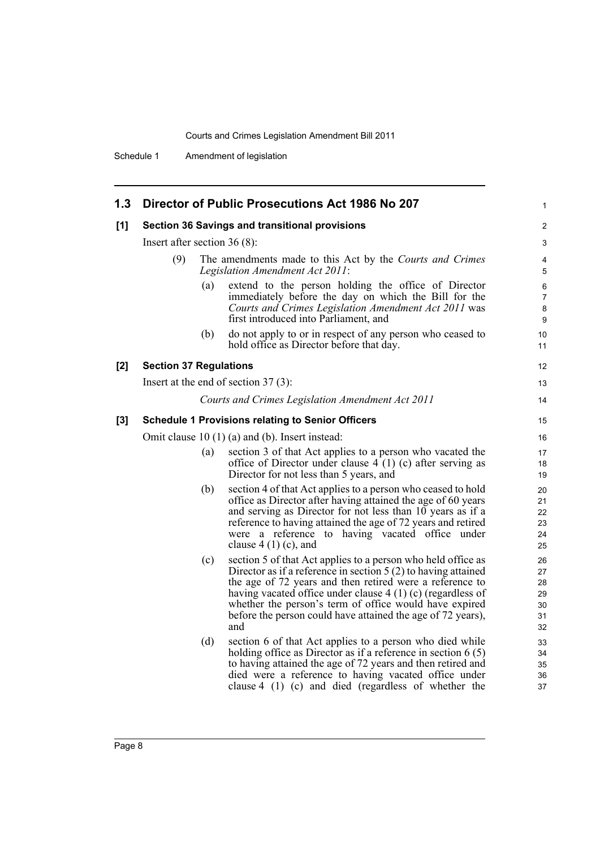Schedule 1 Amendment of legislation

| 1.3 |                                |     | Director of Public Prosecutions Act 1986 No 207                                                                                                                                                                                                                                                                                                                                            | 1                                      |
|-----|--------------------------------|-----|--------------------------------------------------------------------------------------------------------------------------------------------------------------------------------------------------------------------------------------------------------------------------------------------------------------------------------------------------------------------------------------------|----------------------------------------|
| [1] |                                |     | Section 36 Savings and transitional provisions                                                                                                                                                                                                                                                                                                                                             | 2                                      |
|     | Insert after section $36(8)$ : |     |                                                                                                                                                                                                                                                                                                                                                                                            | 3                                      |
|     | (9)                            |     | The amendments made to this Act by the Courts and Crimes<br>Legislation Amendment Act 2011:                                                                                                                                                                                                                                                                                                | 4<br>5                                 |
|     |                                | (a) | extend to the person holding the office of Director<br>immediately before the day on which the Bill for the<br>Courts and Crimes Legislation Amendment Act 2011 was<br>first introduced into Parliament, and                                                                                                                                                                               | 6<br>7<br>8<br>9                       |
|     |                                | (b) | do not apply to or in respect of any person who ceased to<br>hold office as Director before that day.                                                                                                                                                                                                                                                                                      | 10<br>11                               |
| [2] | <b>Section 37 Regulations</b>  |     |                                                                                                                                                                                                                                                                                                                                                                                            | 12                                     |
|     |                                |     | Insert at the end of section $37(3)$ :                                                                                                                                                                                                                                                                                                                                                     | 13                                     |
|     |                                |     | Courts and Crimes Legislation Amendment Act 2011                                                                                                                                                                                                                                                                                                                                           | 14                                     |
| [3] |                                |     | <b>Schedule 1 Provisions relating to Senior Officers</b>                                                                                                                                                                                                                                                                                                                                   | 15                                     |
|     |                                |     | Omit clause $10(1)(a)$ and (b). Insert instead:                                                                                                                                                                                                                                                                                                                                            | 16                                     |
|     |                                | (a) | section 3 of that Act applies to a person who vacated the<br>office of Director under clause $4(1)(c)$ after serving as<br>Director for not less than 5 years, and                                                                                                                                                                                                                         | 17<br>18<br>19                         |
|     |                                | (b) | section 4 of that Act applies to a person who ceased to hold<br>office as Director after having attained the age of 60 years<br>and serving as Director for not less than 10 years as if a<br>reference to having attained the age of 72 years and retired<br>were a reference to having vacated office under<br>clause $4(1)(c)$ , and                                                    | 20<br>21<br>22<br>23<br>24<br>25       |
|     |                                | (c) | section 5 of that Act applies to a person who held office as<br>Director as if a reference in section $5(2)$ to having attained<br>the age of 72 years and then retired were a reference to<br>having vacated office under clause $4(1)(c)$ (regardless of<br>whether the person's term of office would have expired<br>before the person could have attained the age of 72 years),<br>and | 26<br>27<br>28<br>29<br>30<br>31<br>32 |
|     |                                | (d) | section 6 of that Act applies to a person who died while<br>holding office as Director as if a reference in section $6(5)$<br>to having attained the age of 72 years and then retired and<br>died were a reference to having vacated office under<br>clause $4$ (1) (c) and died (regardless of whether the                                                                                | 33<br>34<br>35<br>36<br>37             |